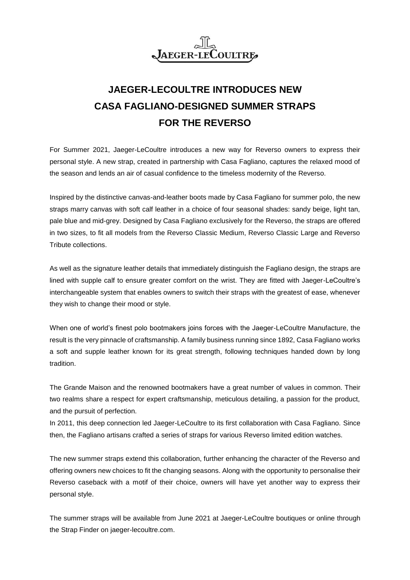

## **JAEGER-LECOULTRE INTRODUCES NEW CASA FAGLIANO-DESIGNED SUMMER STRAPS FOR THE REVERSO**

For Summer 2021, Jaeger-LeCoultre introduces a new way for Reverso owners to express their personal style. A new strap, created in partnership with Casa Fagliano, captures the relaxed mood of the season and lends an air of casual confidence to the timeless modernity of the Reverso.

Inspired by the distinctive canvas-and-leather boots made by Casa Fagliano for summer polo, the new straps marry canvas with soft calf leather in a choice of four seasonal shades: sandy beige, light tan, pale blue and mid-grey. Designed by Casa Fagliano exclusively for the Reverso, the straps are offered in two sizes, to fit all models from the Reverso Classic Medium, Reverso Classic Large and Reverso Tribute collections.

As well as the signature leather details that immediately distinguish the Fagliano design, the straps are lined with supple calf to ensure greater comfort on the wrist. They are fitted with Jaeger-LeCoultre's interchangeable system that enables owners to switch their straps with the greatest of ease, whenever they wish to change their mood or style.

When one of world's finest polo bootmakers joins forces with the Jaeger-LeCoultre Manufacture, the result is the very pinnacle of craftsmanship. A family business running since 1892, Casa Fagliano works a soft and supple leather known for its great strength, following techniques handed down by long tradition.

The Grande Maison and the renowned bootmakers have a great number of values in common. Their two realms share a respect for expert craftsmanship, meticulous detailing, a passion for the product, and the pursuit of perfection.

In 2011, this deep connection led Jaeger-LeCoultre to its first collaboration with Casa Fagliano. Since then, the Fagliano artisans crafted a series of straps for various Reverso limited edition watches.

The new summer straps extend this collaboration, further enhancing the character of the Reverso and offering owners new choices to fit the changing seasons. Along with the opportunity to personalise their Reverso caseback with a motif of their choice, owners will have yet another way to express their personal style.

The summer straps will be available from June 2021 at Jaeger-LeCoultre boutiques or online through the Strap Finder on jaeger-lecoultre.com.